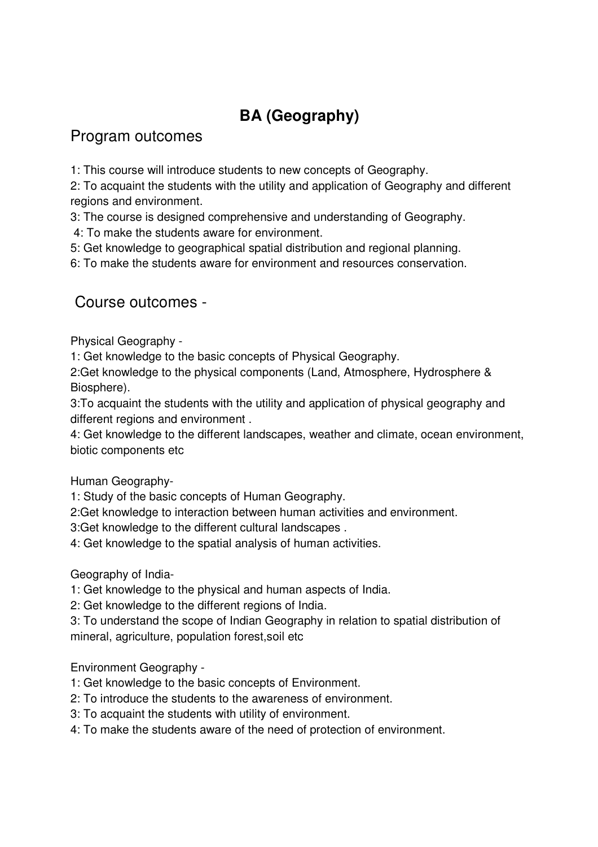## **BA (Geography)**

## Program outcomes

1: This course will introduce students to new concepts of Geography.

2: To acquaint the students with the utility and application of Geography and different regions and environment.

3: The course is designed comprehensive and understanding of Geography.

4: To make the students aware for environment.

5: Get knowledge to geographical spatial distribution and regional planning.

6: To make the students aware for environment and resources conservation.

## Course outcomes -

Physical Geography -

1: Get knowledge to the basic concepts of Physical Geography.

2:Get knowledge to the physical components (Land, Atmosphere, Hydrosphere & Biosphere).

3:To acquaint the students with the utility and application of physical geography and different regions and environment .

4: Get knowledge to the different landscapes, weather and climate, ocean environment, biotic components etc

Human Geography-

1: Study of the basic concepts of Human Geography.

2:Get knowledge to interaction between human activities and environment.

3:Get knowledge to the different cultural landscapes .

4: Get knowledge to the spatial analysis of human activities.

Geography of India-

1: Get knowledge to the physical and human aspects of India.

2: Get knowledge to the different regions of India.

3: To understand the scope of Indian Geography in relation to spatial distribution of mineral, agriculture, population forest,soil etc

Environment Geography -

- 1: Get knowledge to the basic concepts of Environment.
- 2: To introduce the students to the awareness of environment.
- 3: To acquaint the students with utility of environment.
- 4: To make the students aware of the need of protection of environment.